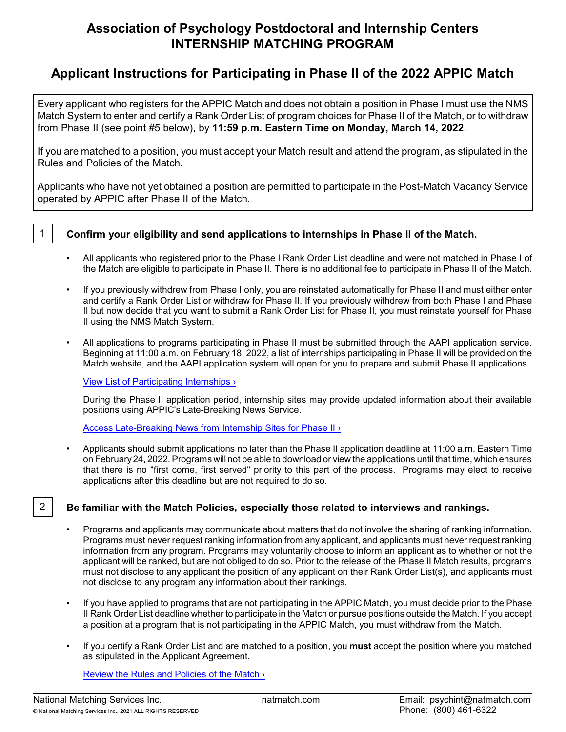# **Association of Psychology Postdoctoral and Internship Centers INTERNSHIP MATCHING PROGRAM**

# **Applicant Instructions for Participating in Phase II of the 2022 APPIC Match**

Every applicant who registers for the APPIC Match and does not obtain a position in Phase I must use the NMS Match System to enter and certify a Rank Order List of program choices for Phase II of the Match, or to withdraw from Phase II (see point #5 below), by **11:59 p.m. Eastern Time on Monday, March 14, 2022**.

If you are matched to a position, you must accept your Match result and attend the program, as stipulated in the Rules and Policies of the Match.

Applicants who have not yet obtained a position are permitted to participate in the Post-Match Vacancy Service operated by APPIC after Phase II of the Match.



## 1 **Confirm your eligibility and send applications to internships in Phase II of the Match.**

- All applicants who registered prior to the Phase I Rank Order List deadline and were not matched in Phase I of the Match are eligible to participate in Phase II. There is no additional fee to participate in Phase II of the Match.
- If you previously withdrew from Phase I only, you are reinstated automatically for Phase II and must either enter and certify a Rank Order List or withdraw for Phase II. If you previously withdrew from both Phase I and Phase II but now decide that you want to submit a Rank Order List for Phase II, you must reinstate yourself for Phase II using the NMS Match System.
- All applications to programs participating in Phase II must be submitted through the AAPI application service. Beginning at 11:00 a.m. on February 18, 2022, a list of internships participating in Phase II will be provided on the Match website, and the AAPI application system will open for you to prepare and submit Phase II applications.

[View List of Participating Internships ›](https://natmatch.com/psychint/directory/participating-programs.html)

During the Phase II application period, internship sites may provide updated information about their available positions using APPIC's Late-Breaking News Service.

Access Late-Breaking News [from Internship Sites for Phase II ›](https://appic.org/Internships/Match/APPIC-Match-Phase-II/Phase-II-News)

• Applicants should submit applications no later than the Phase II application deadline at 11:00 a.m. Eastern Time on February 24, 2022. Programs will not be able to download or view the applications until that time, which ensures that there is no "first come, first served" priority to this part of the process. Programs may elect to receive applications after this deadline but are not required to do so.

## 2 **Be familiar with the Match Policies, especially those related to interviews and rankings.**

- Programs and applicants may communicate about matters that do not involve the sharing of ranking information. Programs must never request ranking information from any applicant, and applicants must never request ranking information from any program. Programs may voluntarily choose to inform an applicant as to whether or not the applicant will be ranked, but are not obliged to do so. Prior to the release of the Phase II Match results, programs must not disclose to any applicant the position of any applicant on their Rank Order List(s), and applicants must not disclose to any program any information about their rankings.
- If you have applied to programs that are not participating in the APPIC Match, you must decide prior to the Phase II Rank Order List deadline whether to participate in the Match or pursue positions outside the Match. If you accept a position at a program that is not participating in the APPIC Match, you must withdraw from the Match.
- If you certify a Rank Order List and are matched to a position, you **must** accept the position where you matched as stipulated in the Applicant Agreement.

Review [the Rules and Policies of the Match ›](https://natmatch.com/psychint/rules.html)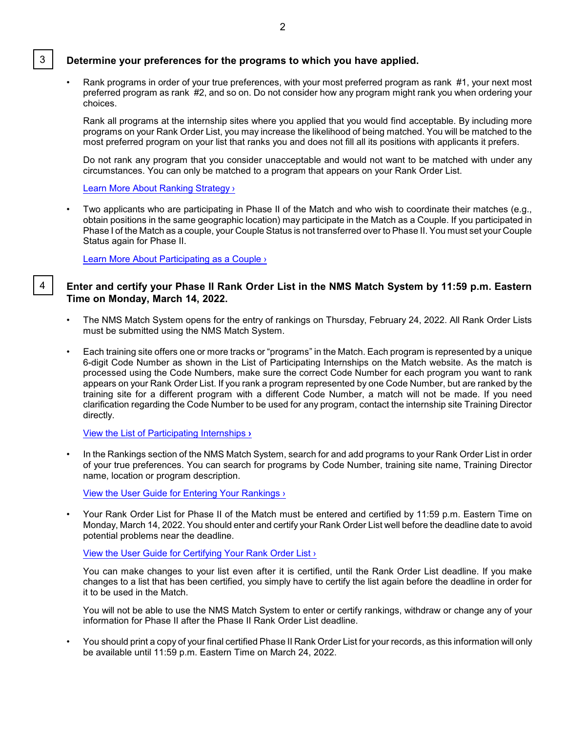#### 3 **Determine your preferences for the programs to which you have applied.**

• Rank programs in order of your true preferences, with your most preferred program as rank #1, your next most preferred program as rank #2, and so on. Do not consider how any program might rank you when ordering your choices.

Rank all programs at the internship sites where you applied that you would find acceptable. By including more programs on your Rank Order List, you may increase the likelihood of being matched. You will be matched to the most preferred program on your list that ranks you and does not fill all its positions with applicants it prefers.

Do not rank any program that you consider unacceptable and would not want to be matched with under any circumstances. You can only be matched to a program that appears on your Rank Order List.

[Learn More About Ranking Strategy ›](https://natmatch.com/psychint/applicants/strategy.html)

• Two applicants who are participating in Phase II of the Match and who wish to coordinate their matches (e.g., obtain positions in the same geographic location) may participate in the Match as a Couple. If you participated in Phase I of the Match as a couple, your Couple Status is not transferred over to Phase II. You must set your Couple Status again for Phase II.

[Learn More About Participating as](https://natmatch.com/psychint/applicants/couples.html) a Couple ›

### 4 **Enter and certify your Phase II Rank Order List in the NMS Match System by 11:59 p.m. Eastern Time on Monday, March 14, 2022.**

- The NMS Match System opens for the entry of rankings on Thursday, February 24, 2022. All Rank Order Lists must be submitted using the NMS Match System.
- Each training site offers one or more tracks or "programs" in the Match. Each program is represented by a unique 6-digit Code Number as shown in the List of Participating Internships on the Match website. As the match is processed using the Code Numbers, make sure the correct Code Number for each program you want to rank appears on your Rank Order List. If you rank a program represented by one Code Number, but are ranked by the training site for a different program with a different Code Number, a match will not be made. If you need clarification regarding the Code Number to be used for any program, contact the internship site Training Director directly.

[View the List of Participating Internships](https://natmatch.com/psychint/directory/participating-programs.html) **›**

• In the Rankings section of the NMS Match System, search for and add programs to your Rank Order List in order of your true preferences. You can search for programs by Code Number, training site name, Training Director name, location or program description.

[View the User Guide for Entering Your Rankings](https://natmatch.com/psychint/applicants/rankings-guide.html#enter) ›

• Your Rank Order List for Phase II of the Match must be entered and certified by 11:59 p.m. Eastern Time on Monday, March 14, 2022. You should enter and certify your Rank Order List well before the deadline date to avoid potential problems near the deadline.

[View the User Guide for Certifying Your Rank](https://natmatch.com/psychint/applicants/rankings-guide.html#certify) Order List ›

You can make changes to your list even after it is certified, until the Rank Order List deadline. If you make changes to a list that has been certified, you simply have to certify the list again before the deadline in order for it to be used in the Match.

You will not be able to use the NMS Match System to enter or certify rankings, withdraw or change any of your information for Phase II after the Phase II Rank Order List deadline.

• You should print a copy of your final certified Phase II Rank Order List for your records, as this information will only be available until 11:59 p.m. Eastern Time on March 24, 2022.

2